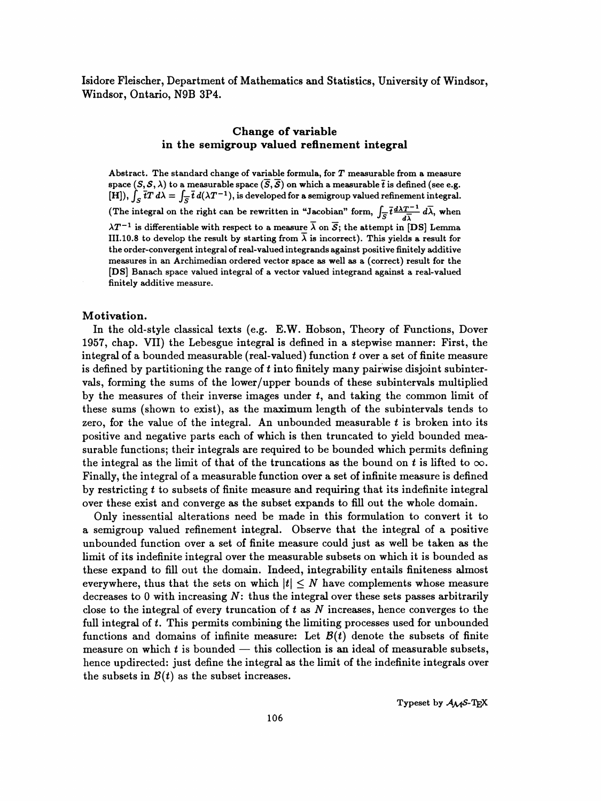Isidore Fleischer, Department of Mathematics and Statistics, University of Windsor, Windsor, Ontario, N9B 3P4.

# Change of variable in the semigroup valued refinement integral

Abstract. The standard change of variable formula, for  $T$  measurable from a measure space  $(S, \mathcal{S}, \lambda)$  to a measurable space  $(\overline{S}, \overline{\mathcal{S}})$  on which a measurable  $\overline{t}$  is defined (see e.g. [H]),  $\int_S \overline{t}T d\lambda = \int_{\overline{S}} \overline{t} d(\lambda T^{-1})$ , is developed for a semigroup valued refinement integral. (The integral on the right can be rewritten in "Jacobian" form,  $\int_{\overline{S}} \overline{t} \frac{d\lambda T^{-1}}{d\overline{\lambda}} d\overline{\lambda}$ , when  $\lambda T^{-1}$  is differentiable with respect to a measure  $\overline{\lambda}$  on  $\overline{S}$ ; the attempt in [DS] Lemma III.10.8 to develop the result by starting from  $\overline{\lambda}$  is incorrect). This yields a result for the order-convergent integral of real- valued integrands against positive finitely additive measures in an Archimedian ordered vector space as well as a (correct) result for the [DS] Banach space valued integral of a vector valued integrand against a real-valued finitely additive measure.

#### Motivation.

 In the old-style classical texts (e.g. E.W. Hobson, Theory of Functions, Dover 1957, chap. VII) the Lebesgue integral is defined in a stepwise manner: First, the integral of a bounded measurable (real-valued) function  $t$  over a set of finite measure is defined by partitioning the range of  $t$  into finitely many pairwise disjoint subinter vals, forming the sums of the lower/upper bounds of these subintervals multiplied by the measures of their inverse images under  $t$ , and taking the common limit of these sums (shown to exist), as the maximum length of the subintervals tends to zero, for the value of the integral. An unbounded measurable  $t$  is broken into its positive and negative parts each of which is then truncated to yield bounded mea surable functions; their integrals are required to be bounded which permits defining the integral as the limit of that of the truncations as the bound on t is lifted to  $\infty$ . Finally, the integral of a measurable function over a set of infinite measure is defined by restricting  $t$  to subsets of finite measure and requiring that its indefinite integral over these exist and converge as the subset expands to fill out the whole domain.

 Only inessential alterations need be made in this formulation to convert it to a semigroup valued refinement integral. Observe that the integral of a positive unbounded function over a set of finite measure could just as well be taken as the limit of its indefinite integral over the measurable subsets on which it is bounded as these expand to fill out the domain. Indeed, integrability entails finiteness almost everywhere, thus that the sets on which  $|t| \leq N$  have complements whose measure decreases to 0 with increasing  $N$ : thus the integral over these sets passes arbitrarily close to the integral of every truncation of  $t$  as  $N$  increases, hence converges to the full integral of t. This permits combining the limiting processes used for unbounded functions and domains of infinite measure: Let  $B(t)$  denote the subsets of finite measure on which  $t$  is bounded  $-$  this collection is an ideal of measurable subsets, hence updirected: just define the integral as the limit of the indefinite integrals over the subsets in  $B(t)$  as the subset increases.

Typeset by  $A_{\mathcal{M}}S$ -TEX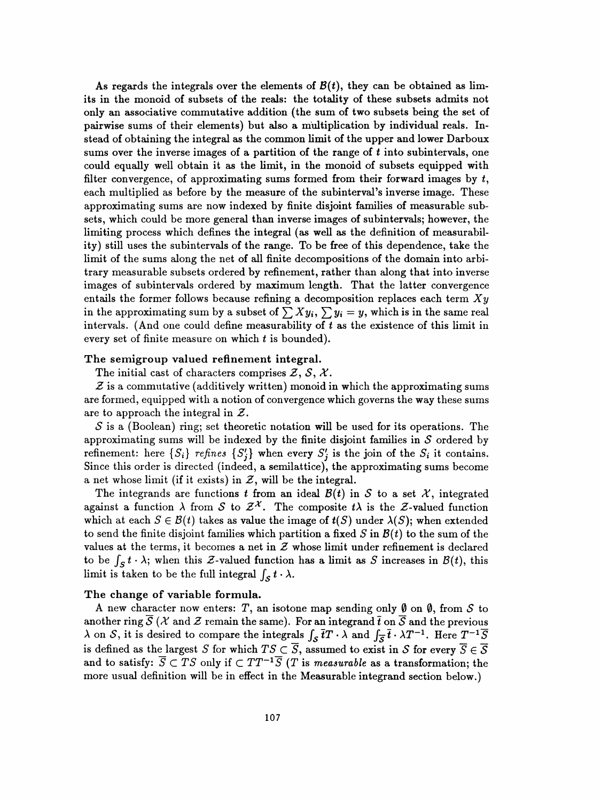As regards the integrals over the elements of  $B(t)$ , they can be obtained as lim its in the monoid of subsets of the reals: the totality of these subsets admits not only an associative commutative addition (the sum of two subsets being the set of pairwise sums of their elements) but also a multiplication by individual reals. In stead of obtaining the integral as the common limit of the upper and lower Darboux sums over the inverse images of a partition of the range of  $t$  into subintervals, one could equally well obtain it as the limit, in the monoid of subsets equipped with filter convergence, of approximating sums formed from their forward images by  $t$ , each multiplied as before by the measure of the subinterval's inverse image. These approximating sums are now indexed by finite disjoint families of measurable sub sets, which could be more general than inverse images of subintervals; however, the limiting process which defines the integral (as well as the definition of measurabil ity) still uses the subintervals of the range. To be free of this dependence, take the limit of the sums along the net of all finite decompositions of the domain into arbi trary measurable subsets ordered by refinement, rather than along that into inverse images of subintervals ordered by maximum length. That the latter convergence entails the former follows because refining a decomposition replaces each term  $X_y$ in the approximating sum by a subset of  $\sum Xy_i$ ,  $\sum y_i = y$ , which is in the same real intervals. (And one could define measurability of  $t$  as the existence of this limit in every set of finite measure on which  $t$  is bounded).

### The semigroup valued refinement integral.

The initial cast of characters comprises  $\mathcal{Z}, \mathcal{S}, \mathcal{X}.$ 

 $Z$  is a commutative (additively written) monoid in which the approximating sums are formed, equipped with a notion of convergence which governs the way these sums are to approach the integral in  $Z$ .

 $S$  is a (Boolean) ring; set theoretic notation will be used for its operations. The approximating sums will be indexed by the finite disjoint families in  $S$  ordered by refinement: here  $\{S_i\}$  refines  $\{S'_j\}$  when every  $S'_j$  is the join of the  $S_i$  it contains. Since this order is directed (indeed, a semilattice), the approximating sums become a net whose limit (if it exists) in  $Z$ , will be the integral.

The integrands are functions t from an ideal  $\mathcal{B}(t)$  in S to a set X, integrated against a function  $\lambda$  from S to  $\mathcal{Z}^{\chi}$ . The composite t $\lambda$  is the Z-valued function which at each  $S \in \mathcal{B}(t)$  takes as value the image of  $t(S)$  under  $\lambda(S)$ ; when extended to send the finite disjoint families which partition a fixed S in  $B(t)$  to the sum of the values at the terms, it becomes a net in  $\mathcal Z$  whose limit under refinement is declared to be  $\int_S t \cdot \lambda$ ; when this Z-valued function has a limit as S increases in  $\mathcal{B}(t)$ , this limit is taken to be the full integral  $\int_{\mathcal{S}} t \cdot \lambda$ .

#### The change of variable formula.

A new character now enters: T, an isotone map sending only  $\emptyset$  on  $\emptyset$ , from S to another ring  $\mathcal{S}(\mathcal{X})$  and  $\mathcal{Z}$  remain the same). For an integrand  $\bar{t}$  on  $\bar{\mathcal{S}}$  and the previous  $\lambda$  on S, it is desired to compare the integrals  $\int_{S} \overline{t}T \cdot \lambda$  and  $\int_{\overline{S}} \overline{t} \cdot \lambda T^{-1}$ . Here  $T^{-1}\overline{S}$ is defined as the largest S for which  $TS \subset \overline{S}$ , assumed to exist in S for every  $\overline{S} \in \overline{S}$ and to satisfy:  $\overline{S} \subset \overline{TS}$  only if  $\subset TT^{-1}\overline{S}$  (T is measurable as a transformation; the more usual definition will be in effect in the Measurable integrand section below.)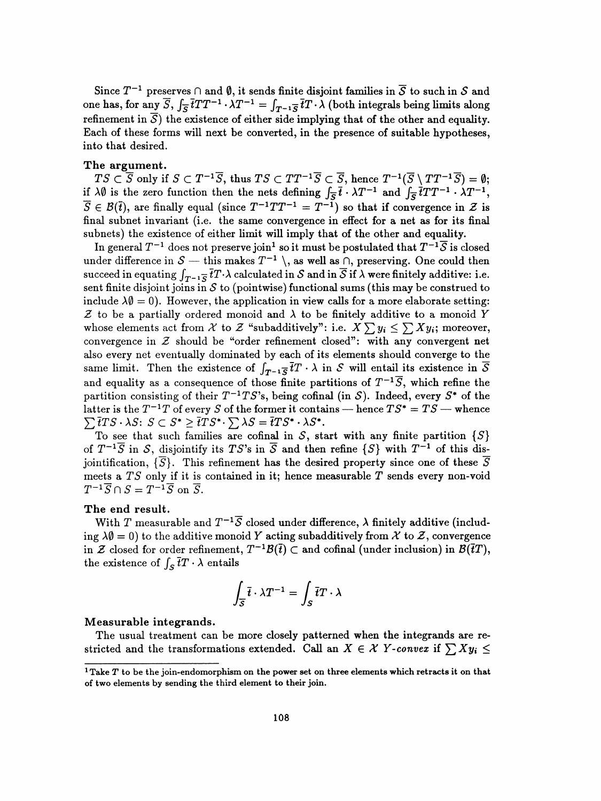Since  $T^{-1}$  preserves  $\cap$  and  $\emptyset$ , it sends finite disjoint families in  $\overline{S}$  to such in S and one has, for any  $\overline{S}$ ,  $\int_{\overline{S}} \overline{t}TT^{-1} \cdot \lambda T^{-1} = \int_{T^{-1}\overline{S}} \overline{t}T \cdot \overline{\lambda}$  (both integrals being limits along refinement in  $\overline{S}$ ) the existence of either side implying that of the other and equality. Each of these forms will next be converted, in the presence of suitable hypotheses, into that desired.

#### The argument.

 $TS \subset \overline{S}$  only if  $S \subset T^{-1}\overline{S}$ , thus  $TS \subset TT^{-1}\overline{S} \subset \overline{S}$ , hence  $T^{-1}(\overline{S} \setminus TT^{-1}\overline{S}) = \emptyset;$ if  $\lambda\emptyset$  is the zero function then the nets defining  $\int_{\overline{S}}\overline{t}\cdot\lambda T^{-1}$  and  $\int_{\overline{S}}\overline{t}TT^{-1}\cdot\lambda T^{-1}$ ,  $\overline{S} \in \mathcal{B}(\overline{t})$ , are finally equal (since  $T^{-1}TT^{-1} = T^{-1}$ ) so that if convergence in Z is final subnet invariant (i.e. the same convergence in effect for a net as for its final subnets) the existence of either limit will imply that of the other and equality.

In general  $T^{-1}$  does not preserve join<sup>1</sup> so it must be postulated that  $T^{-1}\overline{S}$  is closed under difference in  $S$  - this makes  $T^{-1} \setminus$ , as well as  $\cap$ , preserving. One could then succeed in equating  $\int_{T^{-1}\overline{S}}\overline{t}T\cdot\lambda$  calculated in S and in  $\overline{S}$  if  $\lambda$  were finitely additive: i.e. sent finite disjoint joins in  $S$  to (pointwise) functional sums (this may be construed to include  $\lambda\emptyset = 0$ . However, the application in view calls for a more elaborate setting:  $Z$  to be a partially ordered monoid and  $\lambda$  to be finitely additive to a monoid Y whose elements act from X to Z "subadditively": i.e.  $X \sum y_i \leq \sum X y_i$ ; moreover, convergence in  $Z$  should be "order refinement closed": with any convergent net also every net eventually dominated by each of its elements should converge to the same limit. Then the existence of  $\int_{T^{-1}\overline{S}} \overline{t}T \cdot \lambda$  in S will entail its existence in  $\overline{S}$ and equality as a consequence of those finite partitions of  $T^{-1}\overline{S}$ , which refine the partition consisting of their  $T^{-1}TS$ 's, being cofinal (in S). Indeed, every  $S^*$  of the latter is the  $T^{-1}T$  of every S of the former it contains - hence  $TS^* = TS$  - whence  $\sum \overline{t}TS \cdot \lambda S: S \subset S^* \geq \overline{t}TS^* \cdot \sum \lambda S = \overline{t}TS^* \cdot \lambda S^*.$ 

To see that such families are cofinal in  $S$ , start with any finite partition  $\{S\}$ of  $T^{-1}\overline{S}$  in S, disjointify its TS's in  $\overline{S}$  and then refine  $\{S\}$  with  $T^{-1}$  of this disjointification,  $\{\overline{S}\}$ . This refinement has the desired property since one of these  $\overline{S}$ meets a  $TS$  only if it is contained in it; hence measurable  $T$  sends every non-void  $T^{-1}\overline{S}\cap S = T^{-1}\overline{S} \,\,\text{on}\,\, \overline{S}.$ 

# The end result.

With T measurable and  $T^{-1}\overline{S}$  closed under difference,  $\lambda$  finitely additive (including  $\lambda\emptyset = 0$ ) to the additive monoid Y acting subadditively from X to Z, convergence in Z closed for order refinement,  $T^{-1}\mathcal{B}(\bar{t}) \subset \bar{t}$  and cofinal (under inclusion) in  $\mathcal{B}(\bar{t}T)$ , the existence of  $\int_S \overline{t}T \cdot \lambda$  entails

$$
\int_{\overline{S}} \overline{t} \cdot \lambda T^{-1} = \int_{S} \overline{t} T \cdot \lambda
$$

#### Measurable integrands.

 The usual treatment can be more closely patterned when the integrands are re stricted and the transformations extended. Call an  $X \in \mathcal{X}$  Y-convex if  $\sum X y_i \leq$ 

 $1$ Take  $T$  to be the join-endomorphism on the power set on three elements which retracts it on that of two elements by sending the third element to their join.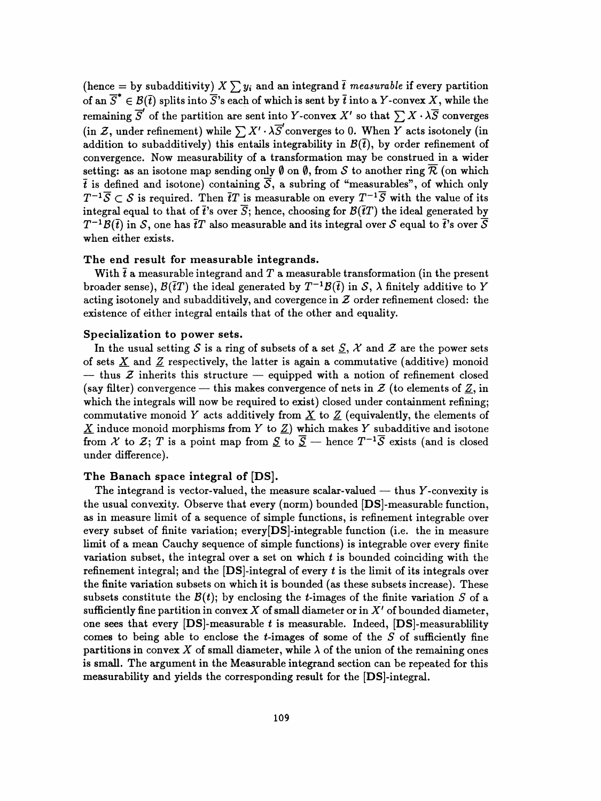(hence = by subadditivity)  $X\sum y_i$  and an integrand  $\bar{t}$  measurable if every partition of an  $\overline{S}^* \in \mathcal{B}(\overline{t})$  splits into  $\overline{S}$ 's each of which is sent by  $\overline{t}$  into a Y-convex X, while the remaining  $\overline{S}'$  of the partition are sent into Y-convex X' so that  $\sum X \cdot \lambda \overline{S}$  converges (in Z, under refinement) while  $\sum X' \cdot \lambda \overline{S}'$  converges to 0. When  $\overline{Y}$  acts isotonely (in addition to subadditively) this entails integrability in  $\mathcal{B}(\bar{t})$ , by order refinement of convergence. Now measurability of a transformation may be construed in a wider setting: as an isotone map sending only  $\emptyset$  on  $\emptyset$ , from S to another ring  $\overline{\mathcal{R}}$  (on which  $\bar{t}$  is defined and isotone) containing  $\bar{S}$ , a subring of "measurables", of which only  $T^{-1}\overline{S} \subset S$  is required. Then  $\overline{t}T$  is measurable on every  $T^{-1}\overline{S}$  with the value of its integral equal to that of  $\bar{t}$ 's over  $\bar{S}$ ; hence, choosing for  $\mathcal{B}(\bar{t}T)$  the ideal generated by  $T^{-1}\mathcal{B}(\bar{t})$  in S, one has  $\bar{t}T$  also measurable and its integral over S equal to  $\bar{t}$ 's over  $\bar{S}$ when either exists.

### The end result for measurable integrands.

With  $\bar{t}$  a measurable integrand and T a measurable transformation (in the present broader sense),  $\mathcal{B}(\bar{t}T)$  the ideal generated by  $T^{-1}\mathcal{B}(\bar{t})$  in S,  $\lambda$  finitely additive to Y acting isotonely and subadditively, and covergence in  $Z$  order refinement closed: the existence of either integral entails that of the other and equality.

### Specialization to power sets.

In the usual setting S is a ring of subsets of a set  $S$ , X and Z are the power sets of sets  $\underline{X}$  and  $\underline{Z}$  respectively, the latter is again a commutative (additive) monoid  $-$  thus  $\mathcal Z$  inherits this structure  $-$  equipped with a notion of refinement closed (say filter) convergence — this makes convergence of nets in  $\mathcal{Z}$  (to elements of  $\underline{Z}$ , in which the integrals will now be required to exist) closed under containment refining; commutative monoid Y acts additively from X to  $Z$  (equivalently, the elements of  $\underline{X}$  induce monoid morphisms from Y to  $\underline{Z}$ ) which makes Y subadditive and isotone from X to Z; T is a point map from  $\underline{S}$  to  $\overline{S}$  - hence  $T^{-1}\overline{S}$  exists (and is closed under difference).

# The Banach space integral of [DS].

The integrand is vector-valued, the measure scalar-valued  $-$  thus Y-convexity is the usual convexity. Observe that every (norm) bounded [DS]-measurable function, as in measure limit of a sequence of simple functions, is refinement integrable over every subset of finite variation; every[DS]-integrable function (i.e. the in measure limit of a mean Cauchy sequence of simple functions) is integrable over every finite variation subset, the integral over a set on which  $t$  is bounded coinciding with the refinement integral; and the  $[DS]$ -integral of every t is the limit of its integrals over the finite variation subsets on which it is bounded (as these subsets increase). These subsets constitute the  $B(t)$ ; by enclosing the *t*-images of the finite variation S of a sufficiently fine partition in convex  $X$  of small diameter or in  $X'$  of bounded diameter, one sees that every  $[DS]$ -measurable t is measurable. Indeed,  $[DS]$ -measurablility comes to being able to enclose the  $t$ -images of some of the  $S$  of sufficiently fine partitions in convex X of small diameter, while  $\lambda$  of the union of the remaining ones is small. The argument in the Measurable integrand section can be repeated for this measurability and yields the corresponding result for the [DS]-integral.